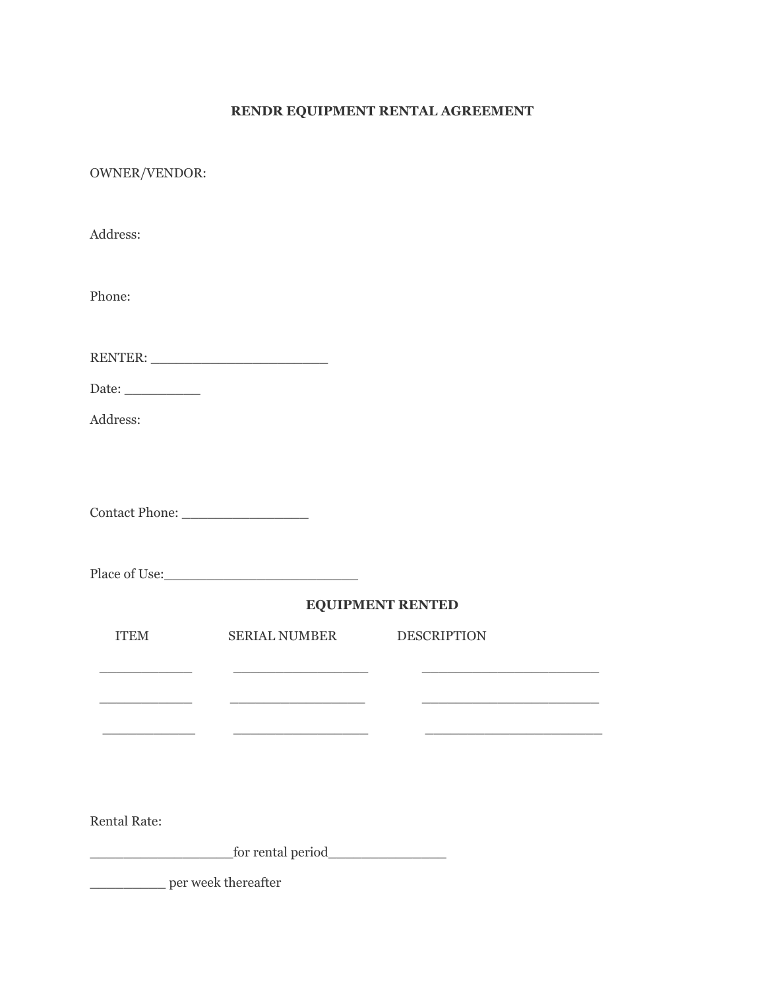## **RENDR EQUIPMENT RENTAL AGREEMENT**

OWNER/VENDOR:

| Address:                |                                                                                                                       |                    |  |
|-------------------------|-----------------------------------------------------------------------------------------------------------------------|--------------------|--|
| Phone:                  |                                                                                                                       |                    |  |
|                         |                                                                                                                       |                    |  |
| Date:                   |                                                                                                                       |                    |  |
| Address:                |                                                                                                                       |                    |  |
|                         |                                                                                                                       |                    |  |
|                         |                                                                                                                       |                    |  |
|                         |                                                                                                                       | EQUIPMENT RENTED   |  |
| <b>ITEM</b>             | <b>SERIAL NUMBER</b>                                                                                                  | <b>DESCRIPTION</b> |  |
|                         | <u> 1989 - Johann John Stone, mars eta bat eta bat erroman erroman erroman erroman erroman erroman erroman erroma</u> |                    |  |
| <u> 1989 - Jan Jawa</u> | the control of the control of the control of the control of                                                           |                    |  |
|                         |                                                                                                                       |                    |  |
| <b>Rental Rate:</b>     |                                                                                                                       |                    |  |
|                         |                                                                                                                       |                    |  |
| per week thereafter     |                                                                                                                       |                    |  |